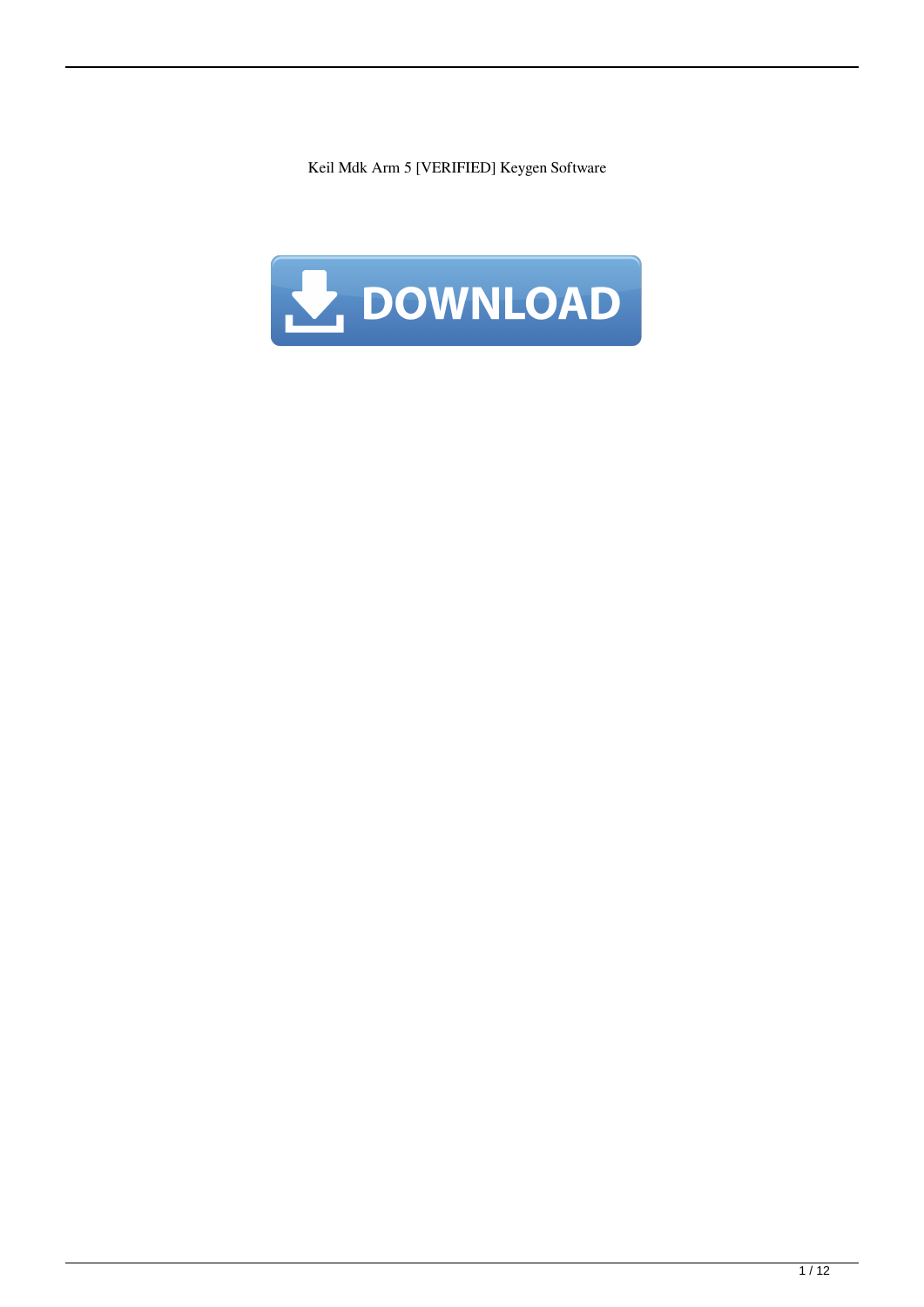Keil Mdk Arm 5 [VERIFIED] Keygen Software

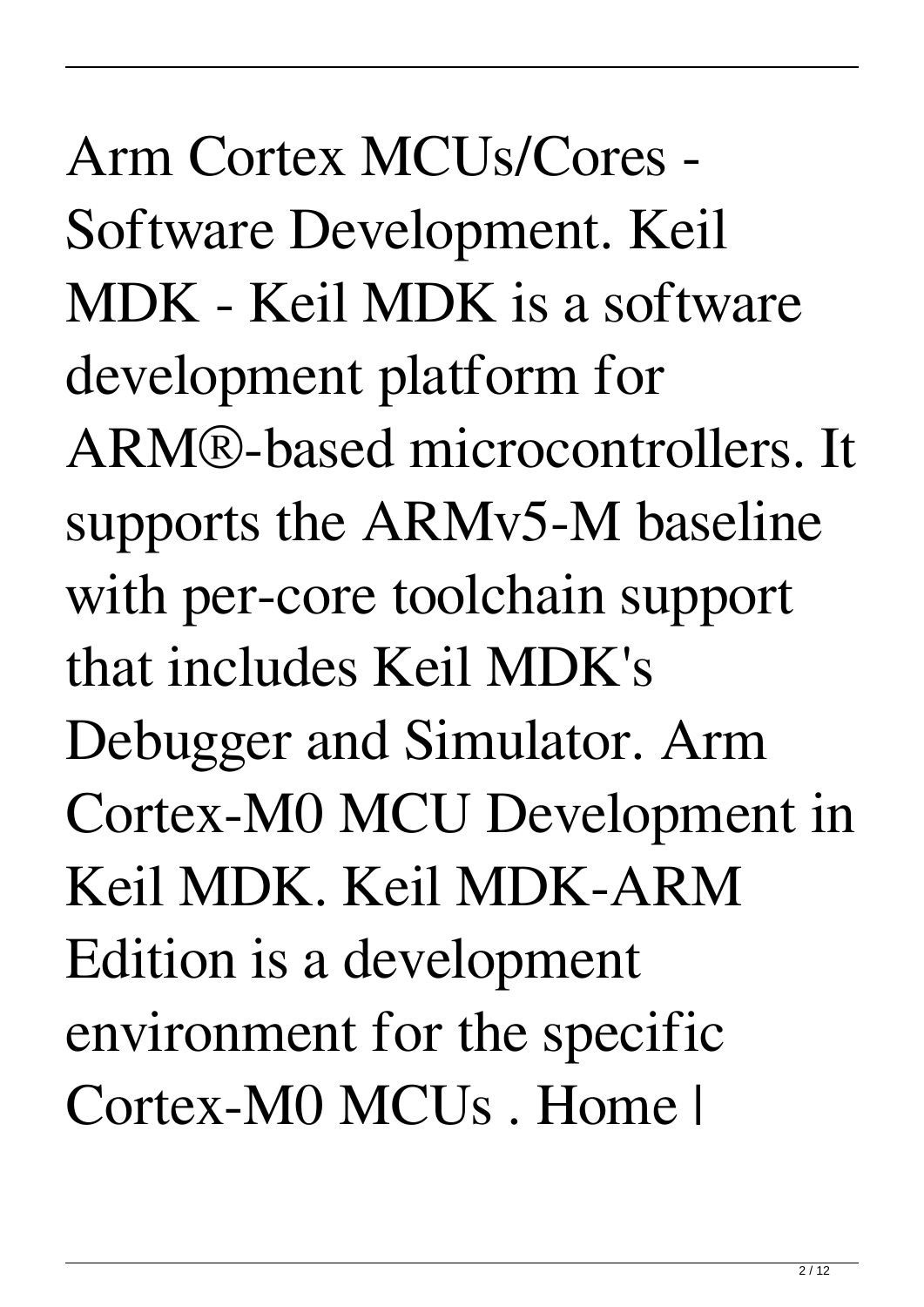Arm Cortex MCUs/Cores - Software Development. Keil MDK - Keil MDK is a software development platform for ARM®-based microcontrollers. It supports the ARMv5-M baseline with per-core toolchain support that includes Keil MDK's Debugger and Simulator. Arm Cortex-M0 MCU Development in Keil MDK. Keil MDK-ARM Edition is a development environment for the specific Cortex-M0 MCUs . Home |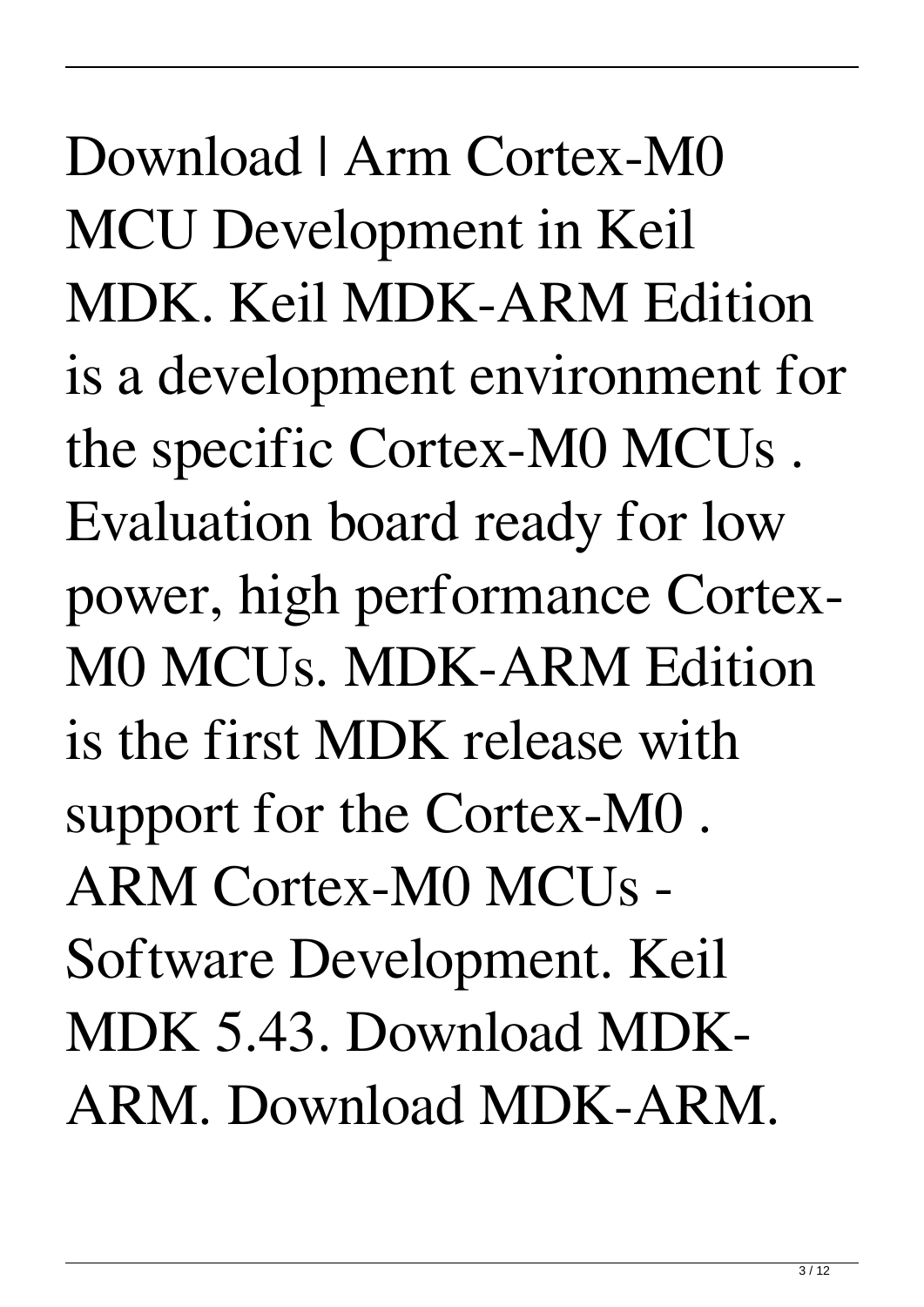Download | Arm Cortex-M0 MCU Development in Keil MDK. Keil MDK-ARM Edition is a development environment for the specific Cortex-M0 MCUs . Evaluation board ready for low power, high performance Cortex-M0 MCUs. MDK-ARM Edition is the first MDK release with support for the Cortex-M0 . ARM Cortex-M0 MCUs - Software Development. Keil MDK 5.43. Download MDK-ARM. Download MDK-ARM.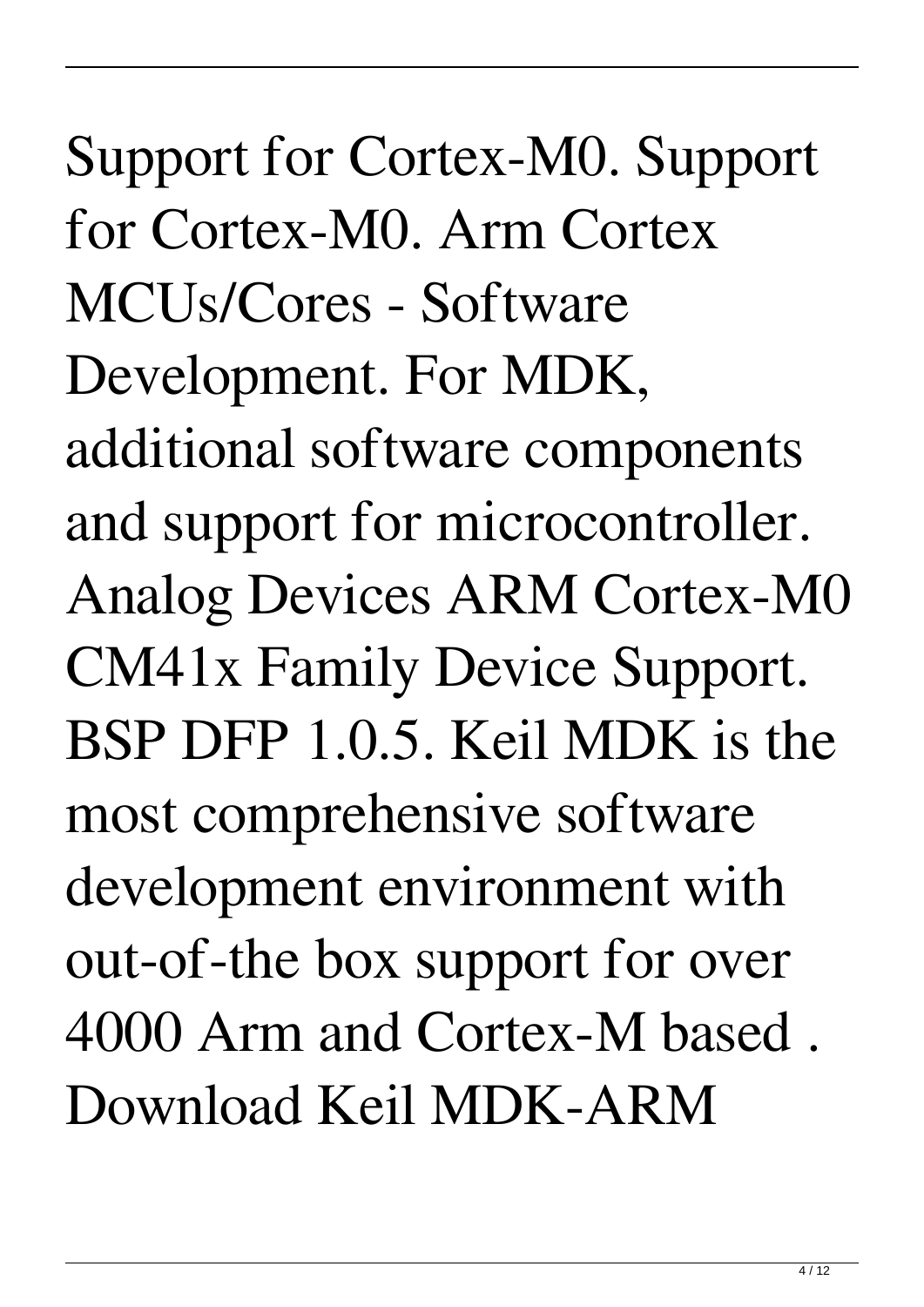Support for Cortex-M0. Support for Cortex-M0. Arm Cortex MCUs/Cores - Software Development. For MDK, additional software components and support for microcontroller. Analog Devices ARM Cortex-M0 CM41x Family Device Support. BSP DFP 1.0.5. Keil MDK is the most comprehensive software development environment with out-of-the box support for over 4000 Arm and Cortex-M based . Download Keil MDK-ARM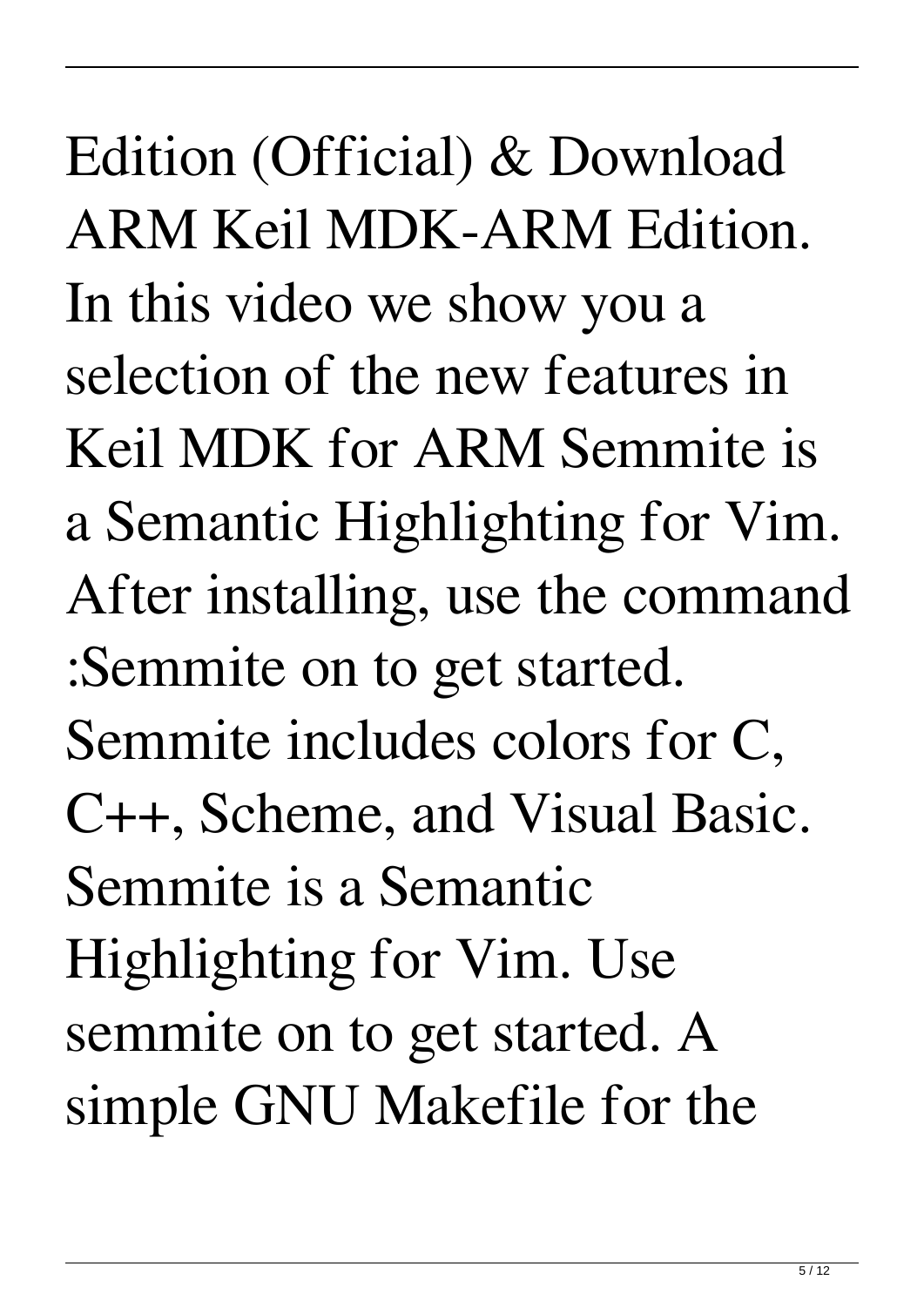Edition (Official) & Download ARM Keil MDK-ARM Edition. In this video we show you a selection of the new features in Keil MDK for ARM Semmite is a Semantic Highlighting for Vim. After installing, use the command :Semmite on to get started. Semmite includes colors for C, C++, Scheme, and Visual Basic. Semmite is a Semantic Highlighting for Vim. Use semmite on to get started. A simple GNU Makefile for the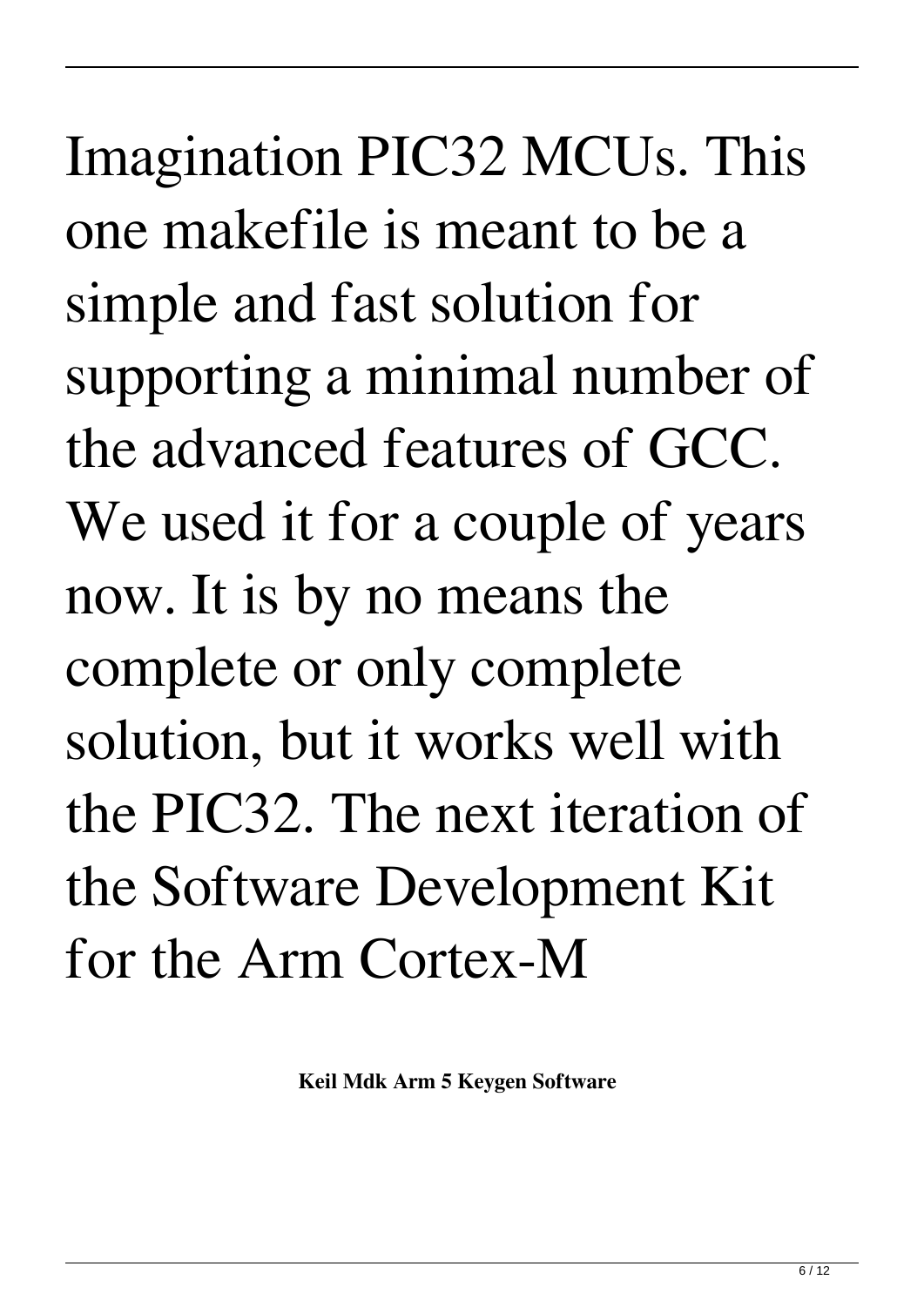Imagination PIC32 MCUs. This one makefile is meant to be a simple and fast solution for supporting a minimal number of the advanced features of GCC. We used it for a couple of years now. It is by no means the complete or only complete solution, but it works well with the PIC32. The next iteration of the Software Development Kit for the Arm Cortex-M

**Keil Mdk Arm 5 Keygen Software**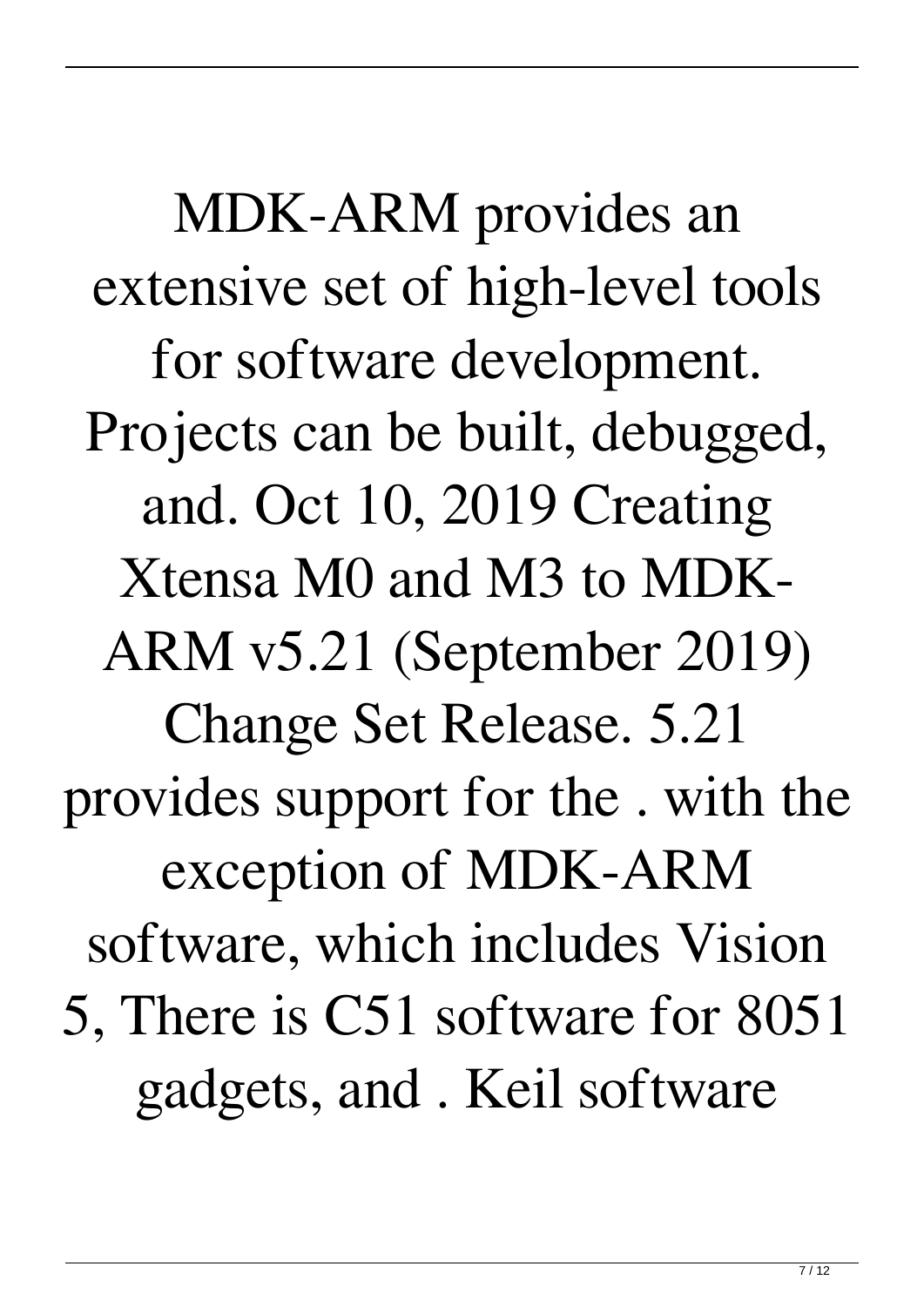MDK-ARM provides an extensive set of high-level tools for software development. Projects can be built, debugged, and. Oct 10, 2019 Creating Xtensa M0 and M3 to MDK-ARM v5.21 (September 2019) Change Set Release. 5.21 provides support for the . with the exception of MDK-ARM software, which includes Vision 5, There is C51 software for 8051 gadgets, and . Keil software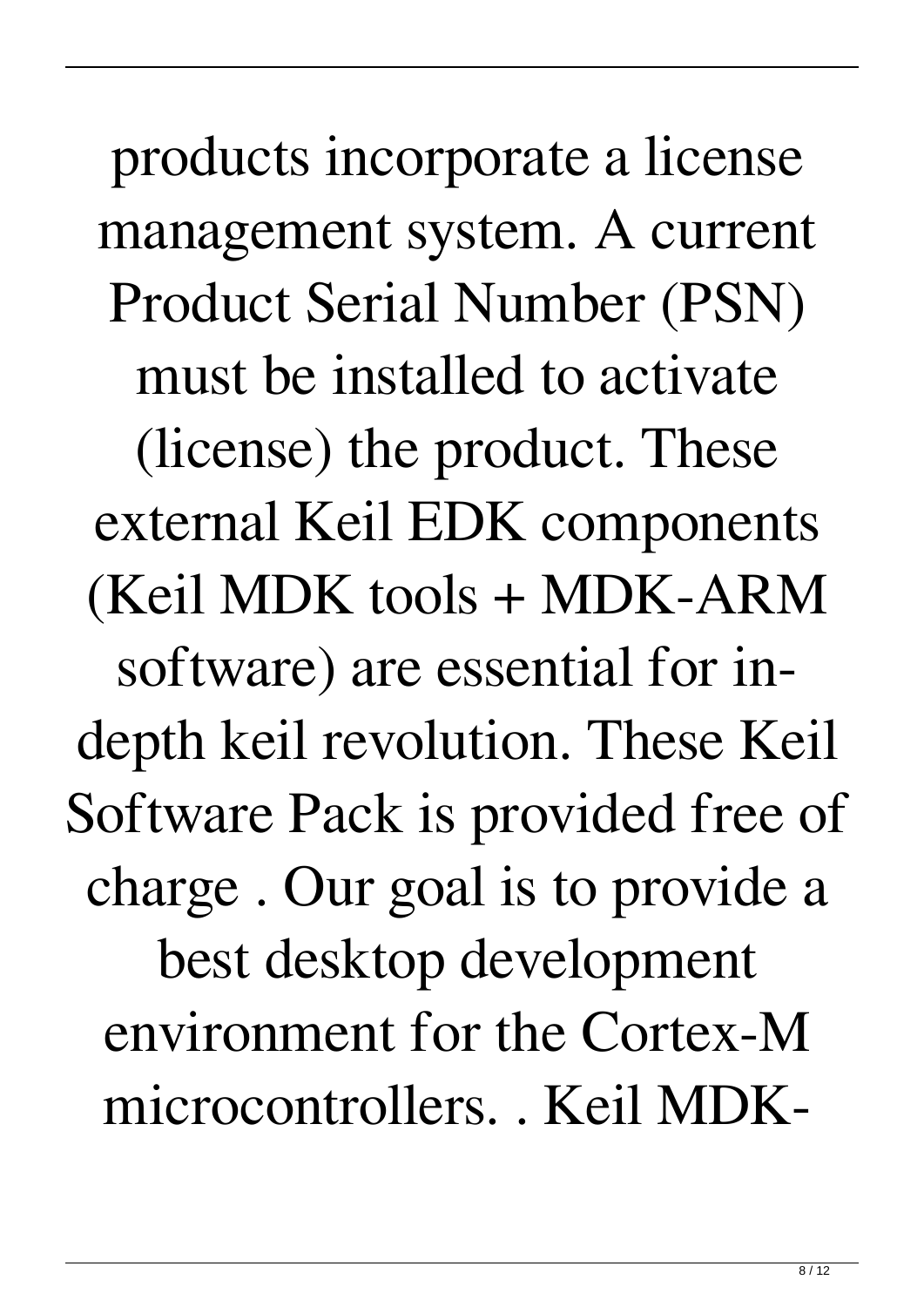products incorporate a license management system. A current Product Serial Number (PSN) must be installed to activate (license) the product. These external Keil EDK components (Keil MDK tools + MDK-ARM software) are essential for indepth keil revolution. These Keil Software Pack is provided free of charge . Our goal is to provide a best desktop development environment for the Cortex-M microcontrollers. . Keil MDK-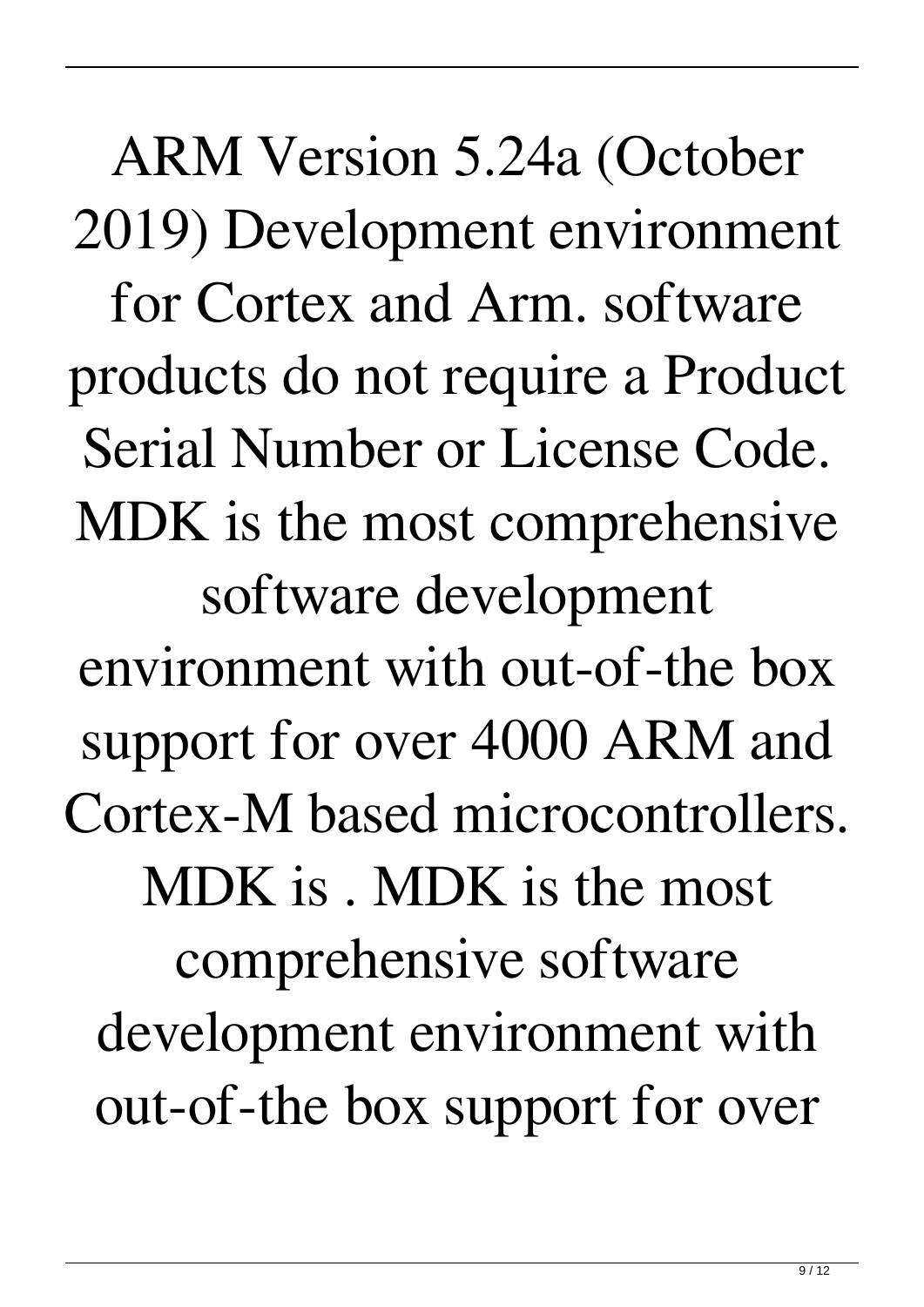ARM Version 5.24a (October 2019) Development environment for Cortex and Arm. software products do not require a Product Serial Number or License Code. MDK is the most comprehensive software development environment with out-of-the box support for over 4000 ARM and Cortex-M based microcontrollers. MDK is . MDK is the most comprehensive software development environment with out-of-the box support for over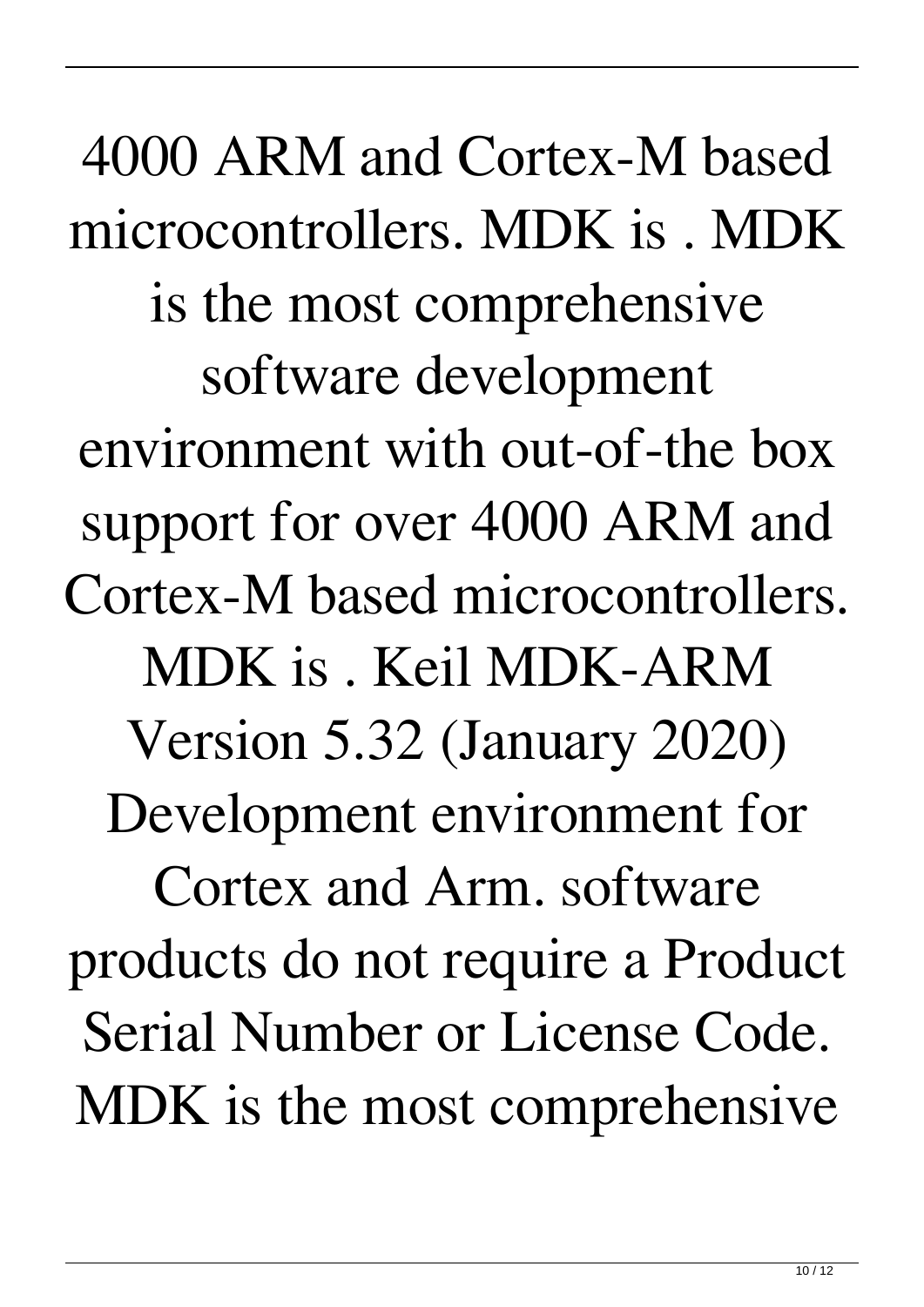4000 ARM and Cortex-M based microcontrollers. MDK is . MDK is the most comprehensive software development environment with out-of-the box support for over 4000 ARM and Cortex-M based microcontrollers. MDK is . Keil MDK-ARM Version 5.32 (January 2020) Development environment for Cortex and Arm. software products do not require a Product Serial Number or License Code. MDK is the most comprehensive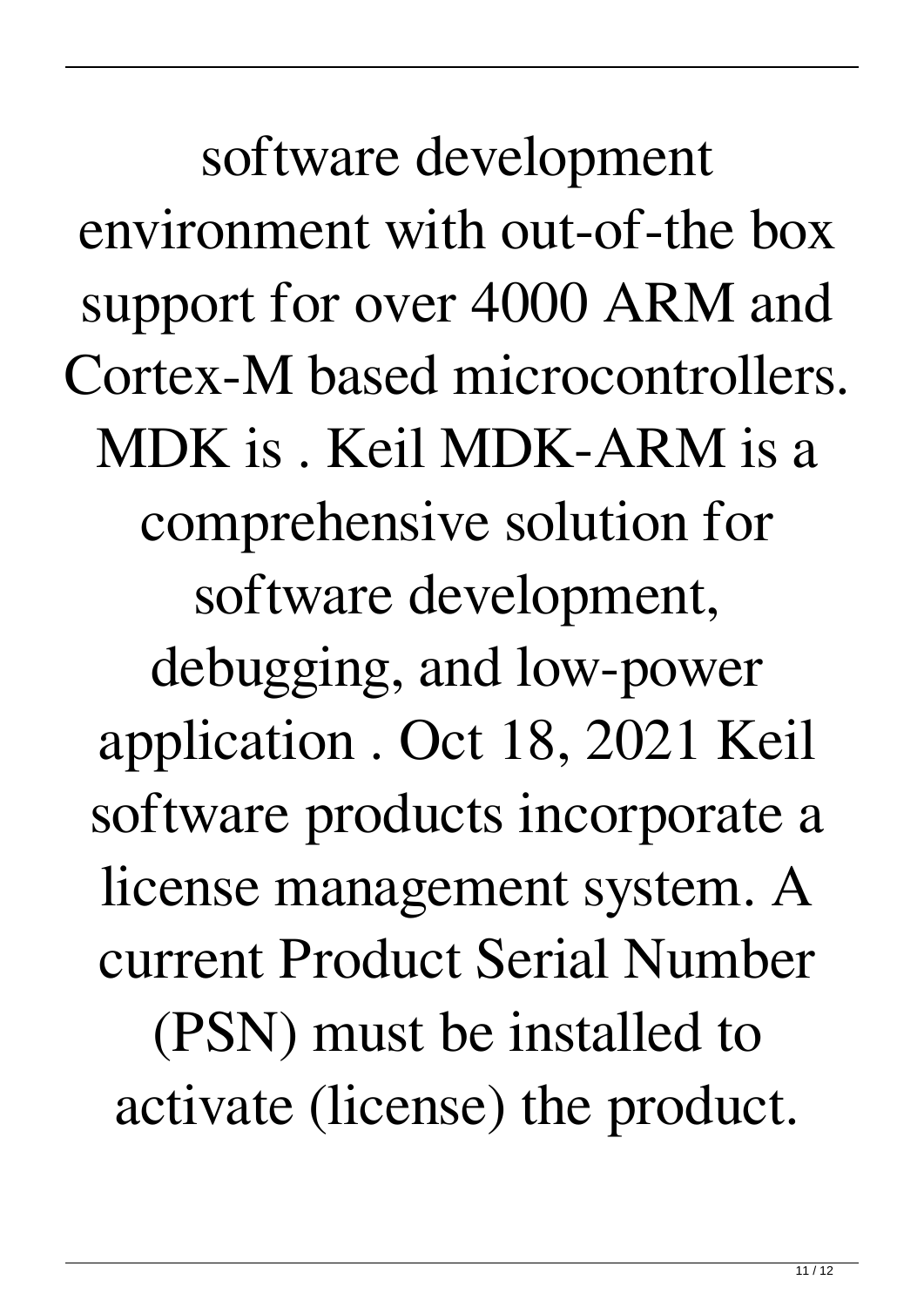software development environment with out-of-the box support for over 4000 ARM and Cortex-M based microcontrollers. MDK is . Keil MDK-ARM is a comprehensive solution for software development, debugging, and low-power application . Oct 18, 2021 Keil software products incorporate a license management system. A current Product Serial Number (PSN) must be installed to activate (license) the product.